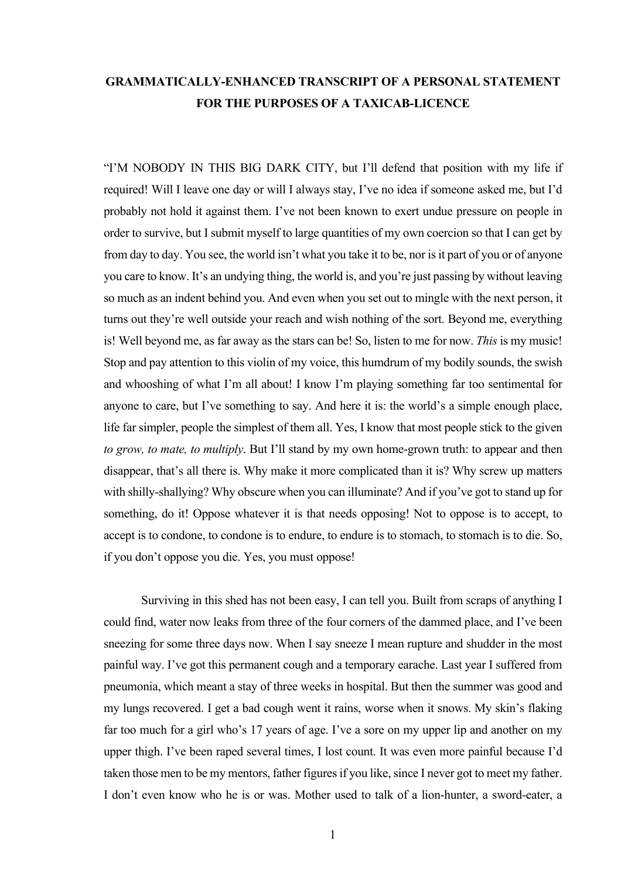## **GRAMMATICALLY-ENHANCED TRANSCRIPT OF A PERSONAL STATEMENT FOR THE PURPOSES OF A TAXICAB-LICENCE**

"I'M NOBODY IN THIS BIG DARK CITY, but I'll defend that position with my life if required! Will I leave one day or will I always stay, I've no idea if someone asked me, but I'd probably not hold it against them. I've not been known to exert undue pressure on people in order to survive, but I submit myself to large quantities of my own coercion so that I can get by from day to day. You see, the world isn't what you take it to be, nor is it part of you or of anyone you care to know. It's an undying thing, the world is, and you're just passing by without leaving so much as an indent behind you. And even when you set out to mingle with the next person, it turns out they're well outside your reach and wish nothing of the sort. Beyond me, everything is! Well beyond me, as far away as the stars can be! So, listen to me for now. *This* is my music! Stop and pay attention to this violin of my voice, this humdrum of my bodily sounds, the swish and whooshing of what I'm all about! I know I'm playing something far too sentimental for anyone to care, but I've something to say. And here it is: the world's a simple enough place, life far simpler, people the simplest of them all. Yes, I know that most people stick to the given *to grow, to mate, to multiply*. But I'll stand by my own home-grown truth: to appear and then disappear, that's all there is. Why make it more complicated than it is? Why screw up matters with shilly-shallying? Why obscure when you can illuminate? And if you've got to stand up for something, do it! Oppose whatever it is that needs opposing! Not to oppose is to accept, to accept is to condone, to condone is to endure, to endure is to stomach, to stomach is to die. So, if you don't oppose you die. Yes, you must oppose!

Surviving in this shed has not been easy, I can tell you. Built from scraps of anything I could find, water now leaks from three of the four corners of the dammed place, and I've been sneezing for some three days now. When I say sneeze I mean rupture and shudder in the most painful way. I've got this permanent cough and a temporary earache. Last year I suffered from pneumonia, which meant a stay of three weeks in hospital. But then the summer was good and my lungs recovered. I get a bad cough went it rains, worse when it snows. My skin's flaking far too much for a girl who's 17 years of age. I've a sore on my upper lip and another on my upper thigh. I've been raped several times, I lost count. It was even more painful because I'd taken those men to be my mentors, father figures if you like, since I never got to meet my father. I don't even know who he is or was. Mother used to talk of a lion-hunter, a sword-eater, a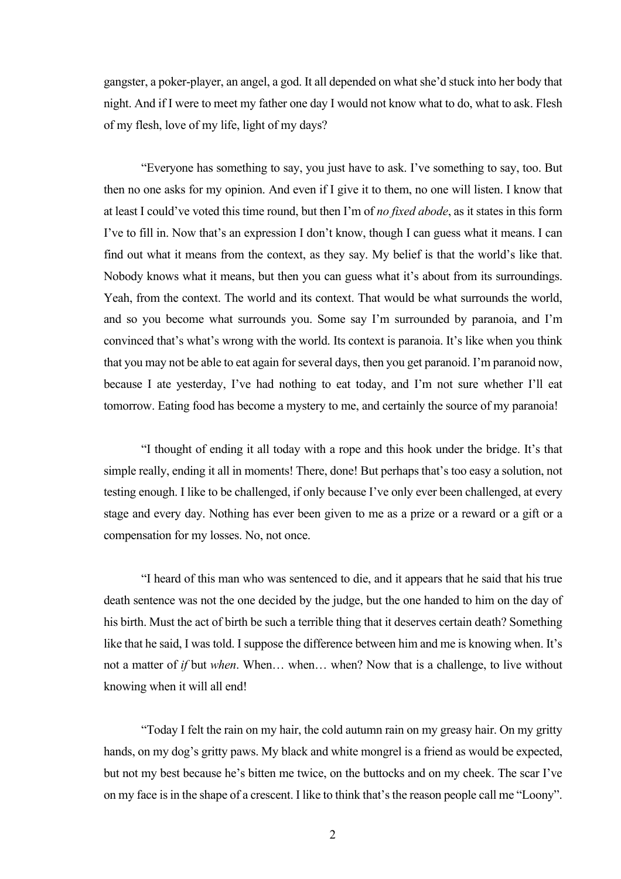gangster, a poker-player, an angel, a god. It all depended on what she'd stuck into her body that night. And if I were to meet my father one day I would not know what to do, what to ask. Flesh of my flesh, love of my life, light of my days?

"Everyone has something to say, you just have to ask. I've something to say, too. But then no one asks for my opinion. And even if I give it to them, no one will listen. I know that at least I could've voted this time round, but then I'm of *no fixed abode*, as it states in this form I've to fill in. Now that's an expression I don't know, though I can guess what it means. I can find out what it means from the context, as they say. My belief is that the world's like that. Nobody knows what it means, but then you can guess what it's about from its surroundings. Yeah, from the context. The world and its context. That would be what surrounds the world, and so you become what surrounds you. Some say I'm surrounded by paranoia, and I'm convinced that's what's wrong with the world. Its context is paranoia. It's like when you think that you may not be able to eat again for several days, then you get paranoid. I'm paranoid now, because I ate yesterday, I've had nothing to eat today, and I'm not sure whether I'll eat tomorrow. Eating food has become a mystery to me, and certainly the source of my paranoia!

"I thought of ending it all today with a rope and this hook under the bridge. It's that simple really, ending it all in moments! There, done! But perhaps that's too easy a solution, not testing enough. I like to be challenged, if only because I've only ever been challenged, at every stage and every day. Nothing has ever been given to me as a prize or a reward or a gift or a compensation for my losses. No, not once.

"I heard of this man who was sentenced to die, and it appears that he said that his true death sentence was not the one decided by the judge, but the one handed to him on the day of his birth. Must the act of birth be such a terrible thing that it deserves certain death? Something like that he said, I was told. I suppose the difference between him and me is knowing when. It's not a matter of *if* but *when*. When… when… when? Now that is a challenge, to live without knowing when it will all end!

"Today I felt the rain on my hair, the cold autumn rain on my greasy hair. On my gritty hands, on my dog's gritty paws. My black and white mongrel is a friend as would be expected, but not my best because he's bitten me twice, on the buttocks and on my cheek. The scar I've on my face is in the shape of a crescent. I like to think that's the reason people call me "Loony".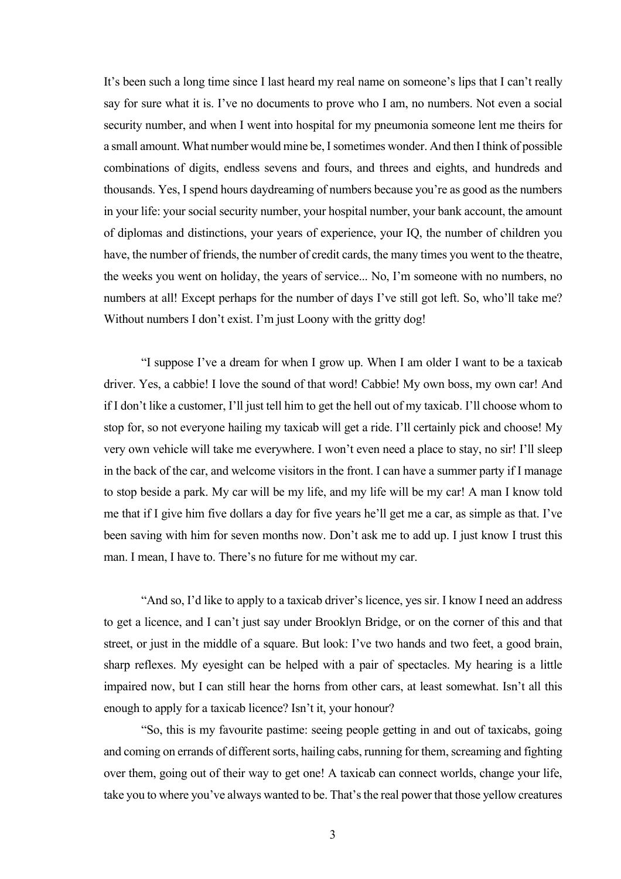It's been such a long time since I last heard my real name on someone's lips that I can't really say for sure what it is. I've no documents to prove who I am, no numbers. Not even a social security number, and when I went into hospital for my pneumonia someone lent me theirs for a small amount. What number would mine be, I sometimes wonder. And then I think of possible combinations of digits, endless sevens and fours, and threes and eights, and hundreds and thousands. Yes, I spend hours daydreaming of numbers because you're as good as the numbers in your life: your social security number, your hospital number, your bank account, the amount of diplomas and distinctions, your years of experience, your IQ, the number of children you have, the number of friends, the number of credit cards, the many times you went to the theatre, the weeks you went on holiday, the years of service... No, I'm someone with no numbers, no numbers at all! Except perhaps for the number of days I've still got left. So, who'll take me? Without numbers I don't exist. I'm just Loony with the gritty dog!

"I suppose I've a dream for when I grow up. When I am older I want to be a taxicab driver. Yes, a cabbie! I love the sound of that word! Cabbie! My own boss, my own car! And if I don't like a customer, I'll just tell him to get the hell out of my taxicab. I'll choose whom to stop for, so not everyone hailing my taxicab will get a ride. I'll certainly pick and choose! My very own vehicle will take me everywhere. I won't even need a place to stay, no sir! I'll sleep in the back of the car, and welcome visitors in the front. I can have a summer party if I manage to stop beside a park. My car will be my life, and my life will be my car! A man I know told me that if I give him five dollars a day for five years he'll get me a car, as simple as that. I've been saving with him for seven months now. Don't ask me to add up. I just know I trust this man. I mean, I have to. There's no future for me without my car.

"And so, I'd like to apply to a taxicab driver's licence, yes sir. I know I need an address to get a licence, and I can't just say under Brooklyn Bridge, or on the corner of this and that street, or just in the middle of a square. But look: I've two hands and two feet, a good brain, sharp reflexes. My eyesight can be helped with a pair of spectacles. My hearing is a little impaired now, but I can still hear the horns from other cars, at least somewhat. Isn't all this enough to apply for a taxicab licence? Isn't it, your honour?

"So, this is my favourite pastime: seeing people getting in and out of taxicabs, going and coming on errands of different sorts, hailing cabs, running for them, screaming and fighting over them, going out of their way to get one! A taxicab can connect worlds, change your life, take you to where you've always wanted to be. That's the real power that those yellow creatures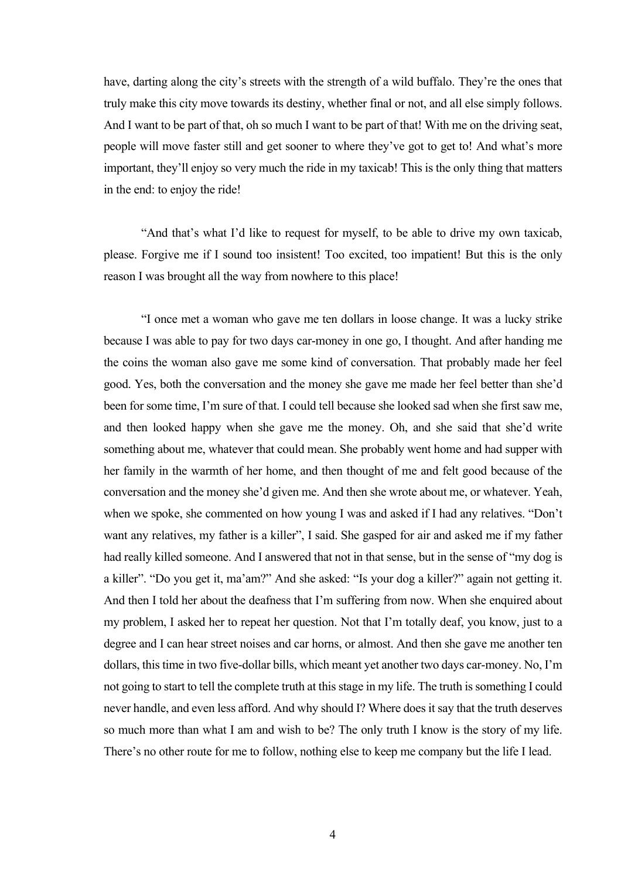have, darting along the city's streets with the strength of a wild buffalo. They're the ones that truly make this city move towards its destiny, whether final or not, and all else simply follows. And I want to be part of that, oh so much I want to be part of that! With me on the driving seat, people will move faster still and get sooner to where they've got to get to! And what's more important, they'll enjoy so very much the ride in my taxicab! This is the only thing that matters in the end: to enjoy the ride!

"And that's what I'd like to request for myself, to be able to drive my own taxicab, please. Forgive me if I sound too insistent! Too excited, too impatient! But this is the only reason I was brought all the way from nowhere to this place!

"I once met a woman who gave me ten dollars in loose change. It was a lucky strike because I was able to pay for two days car-money in one go, I thought. And after handing me the coins the woman also gave me some kind of conversation. That probably made her feel good. Yes, both the conversation and the money she gave me made her feel better than she'd been for some time, I'm sure of that. I could tell because she looked sad when she first saw me, and then looked happy when she gave me the money. Oh, and she said that she'd write something about me, whatever that could mean. She probably went home and had supper with her family in the warmth of her home, and then thought of me and felt good because of the conversation and the money she'd given me. And then she wrote about me, or whatever. Yeah, when we spoke, she commented on how young I was and asked if I had any relatives. "Don't want any relatives, my father is a killer", I said. She gasped for air and asked me if my father had really killed someone. And I answered that not in that sense, but in the sense of "my dog is a killer". "Do you get it, ma'am?" And she asked: "Is your dog a killer?" again not getting it. And then I told her about the deafness that I'm suffering from now. When she enquired about my problem, I asked her to repeat her question. Not that I'm totally deaf, you know, just to a degree and I can hear street noises and car horns, or almost. And then she gave me another ten dollars, this time in two five-dollar bills, which meant yet another two days car-money. No, I'm not going to start to tell the complete truth at this stage in my life. The truth is something I could never handle, and even less afford. And why should I? Where does it say that the truth deserves so much more than what I am and wish to be? The only truth I know is the story of my life. There's no other route for me to follow, nothing else to keep me company but the life I lead.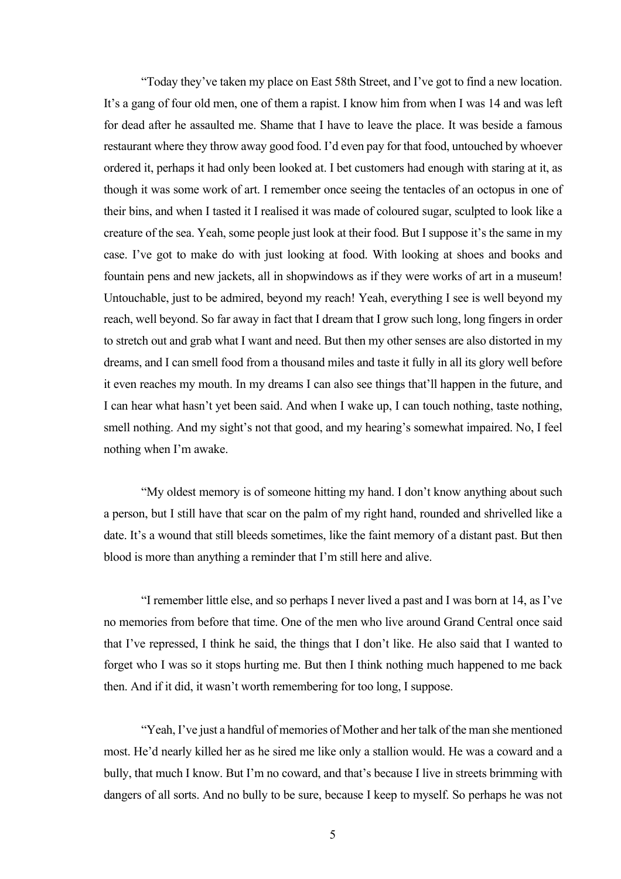"Today they've taken my place on East 58th Street, and I've got to find a new location. It's a gang of four old men, one of them a rapist. I know him from when I was 14 and was left for dead after he assaulted me. Shame that I have to leave the place. It was beside a famous restaurant where they throw away good food. I'd even pay for that food, untouched by whoever ordered it, perhaps it had only been looked at. I bet customers had enough with staring at it, as though it was some work of art. I remember once seeing the tentacles of an octopus in one of their bins, and when I tasted it I realised it was made of coloured sugar, sculpted to look like a creature of the sea. Yeah, some people just look at their food. But I suppose it's the same in my case. I've got to make do with just looking at food. With looking at shoes and books and fountain pens and new jackets, all in shopwindows as if they were works of art in a museum! Untouchable, just to be admired, beyond my reach! Yeah, everything I see is well beyond my reach, well beyond. So far away in fact that I dream that I grow such long, long fingers in order to stretch out and grab what I want and need. But then my other senses are also distorted in my dreams, and I can smell food from a thousand miles and taste it fully in all its glory well before it even reaches my mouth. In my dreams I can also see things that'll happen in the future, and I can hear what hasn't yet been said. And when I wake up, I can touch nothing, taste nothing, smell nothing. And my sight's not that good, and my hearing's somewhat impaired. No, I feel nothing when I'm awake.

"My oldest memory is of someone hitting my hand. I don't know anything about such a person, but I still have that scar on the palm of my right hand, rounded and shrivelled like a date. It's a wound that still bleeds sometimes, like the faint memory of a distant past. But then blood is more than anything a reminder that I'm still here and alive.

"I remember little else, and so perhaps I never lived a past and I was born at 14, as I've no memories from before that time. One of the men who live around Grand Central once said that I've repressed, I think he said, the things that I don't like. He also said that I wanted to forget who I was so it stops hurting me. But then I think nothing much happened to me back then. And if it did, it wasn't worth remembering for too long, I suppose.

"Yeah, I've just a handful of memories of Mother and her talk of the man she mentioned most. He'd nearly killed her as he sired me like only a stallion would. He was a coward and a bully, that much I know. But I'm no coward, and that's because I live in streets brimming with dangers of all sorts. And no bully to be sure, because I keep to myself. So perhaps he was not